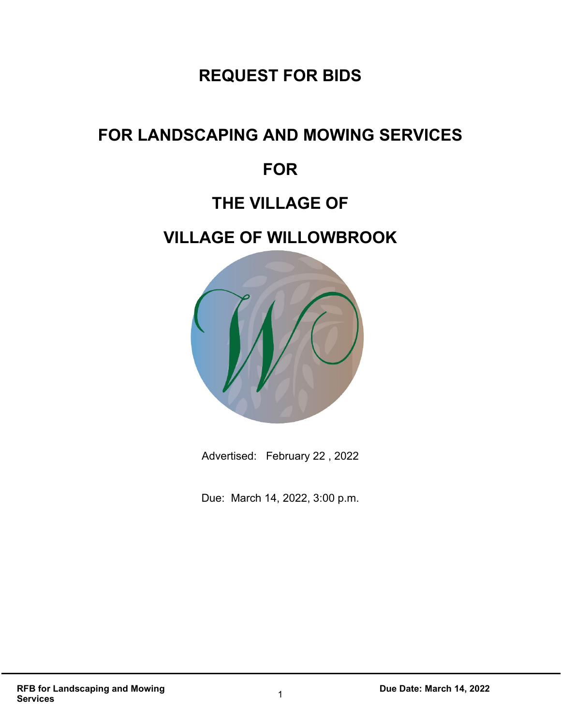# **REQUEST FOR BIDS**

# **FOR LANDSCAPING AND MOWING SERVICES**

# **FOR**

# **THE VILLAGE OF**

# **VILLAGE OF WILLOWBROOK**



Advertised: February 22 , 2022

Due: March 14, 2022, 3:00 p.m.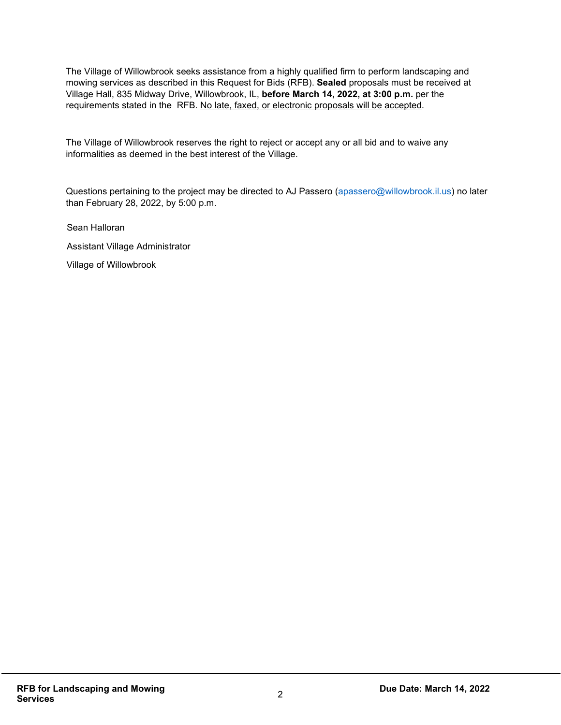The Village of Willowbrook seeks assistance from a highly qualified firm to perform landscaping and mowing services as described in this Request for Bids (RFB). **Sealed** proposals must be received at Village Hall, 835 Midway Drive, Willowbrook, IL, **before March 14, 2022, at 3:00 p.m.** per the requirements stated in the RFB. No late, faxed, or electronic proposals will be accepted.

The Village of Willowbrook reserves the right to reject or accept any or all bid and to waive any informalities as deemed in the best interest of the Village.

Questions pertaining to the project may be directed to AJ Passero [\(apassero@willowbrook.il.us\)](mailto:apassero@willowbrook.il.us) no later than February 28, 2022, by 5:00 p.m.

Sean Halloran

Assistant Village Administrator

Village of Willowbrook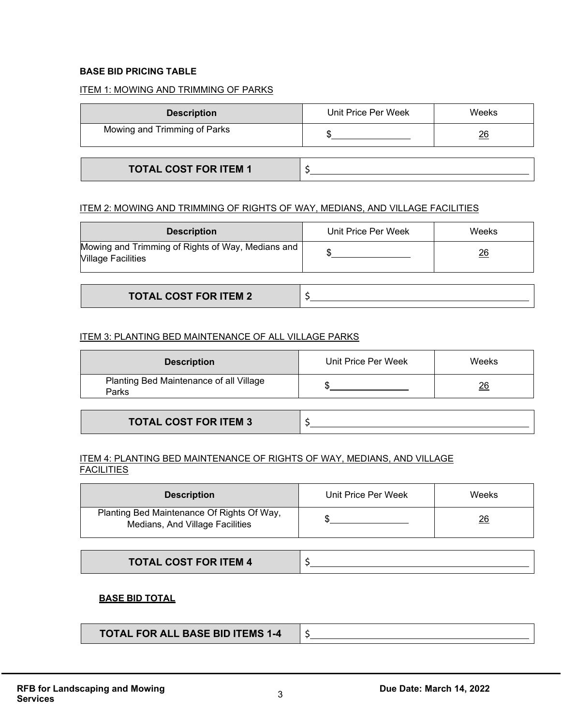#### **BASE BID PRICING TABLE**

#### ITEM 1: MOWING AND TRIMMING OF PARKS

| <b>Description</b>           | Unit Price Per Week | Weeks          |
|------------------------------|---------------------|----------------|
| Mowing and Trimming of Parks |                     | $\frac{26}{5}$ |
|                              |                     |                |
| <b>TOTAL COST FOR ITEM 1</b> |                     |                |

#### ITEM 2: MOWING AND TRIMMING OF RIGHTS OF WAY, MEDIANS, AND VILLAGE FACILITIES

| <b>Description</b>                                                             | Unit Price Per Week | Weeks |
|--------------------------------------------------------------------------------|---------------------|-------|
| Mowing and Trimming of Rights of Way, Medians and<br><b>Village Facilities</b> |                     | 26    |
|                                                                                |                     |       |

| <b>TOTAL COST FOR ITEM 2</b><br>IUIAL VUJI FURT |  |
|-------------------------------------------------|--|
|                                                 |  |

#### ITEM 3: PLANTING BED MAINTENANCE OF ALL VILLAGE PARKS

| <b>Description</b>                               | Unit Price Per Week | Weeks          |
|--------------------------------------------------|---------------------|----------------|
| Planting Bed Maintenance of all Village<br>Parks |                     | $\frac{26}{5}$ |

#### ITEM 4: PLANTING BED MAINTENANCE OF RIGHTS OF WAY, MEDIANS, AND VILLAGE **FACILITIES**

| <b>Description</b>                                                            | Unit Price Per Week | Weeks          |
|-------------------------------------------------------------------------------|---------------------|----------------|
| Planting Bed Maintenance Of Rights Of Way,<br>Medians, And Village Facilities |                     | $\frac{26}{5}$ |

#### **BASE BID TOTAL**

| <b>TOTAL FOR ALL BASE BID ITEMS 1-4</b> |  |
|-----------------------------------------|--|
|                                         |  |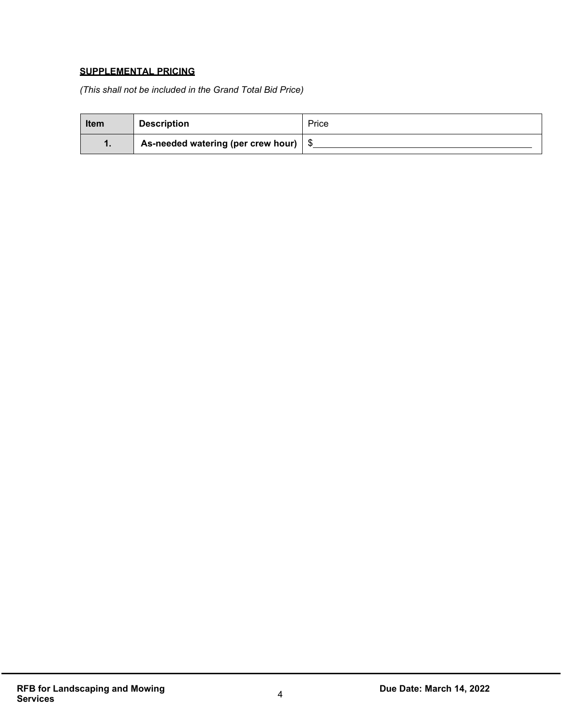### **SUPPLEMENTAL PRICING**

*(This shall not be included in the Grand Total Bid Price)*

| <b>Item</b> | <b>Description</b>                 | Price |
|-------------|------------------------------------|-------|
|             | As-needed watering (per crew hour) |       |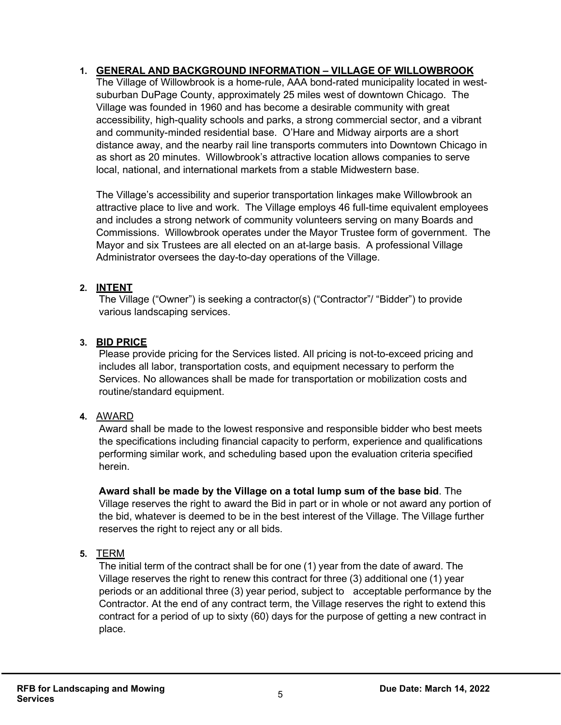# **1. GENERAL AND BACKGROUND INFORMATION – VILLAGE OF WILLOWBROOK**

The Village of Willowbrook is a home-rule, AAA bond-rated municipality located in westsuburban DuPage County, approximately 25 miles west of downtown Chicago. The Village was founded in 1960 and has become a desirable community with great accessibility, high-quality schools and parks, a strong commercial sector, and a vibrant and community-minded residential base. O'Hare and Midway airports are a short distance away, and the nearby rail line transports commuters into Downtown Chicago in as short as 20 minutes. Willowbrook's attractive location allows companies to serve local, national, and international markets from a stable Midwestern base.

The Village's accessibility and superior transportation linkages make Willowbrook an attractive place to live and work. The Village employs 46 full-time equivalent employees and includes a strong network of community volunteers serving on many Boards and Commissions. Willowbrook operates under the Mayor Trustee form of government. The Mayor and six Trustees are all elected on an at-large basis. A professional Village Administrator oversees the day-to-day operations of the Village.

# **2. INTENT**

The Village ("Owner") is seeking a contractor(s) ("Contractor"/ "Bidder") to provide various landscaping services.

# **3. BID PRICE**

Please provide pricing for the Services listed. All pricing is not-to-exceed pricing and includes all labor, transportation costs, and equipment necessary to perform the Services. No allowances shall be made for transportation or mobilization costs and routine/standard equipment.

## **4.** AWARD

Award shall be made to the lowest responsive and responsible bidder who best meets the specifications including financial capacity to perform, experience and qualifications performing similar work, and scheduling based upon the evaluation criteria specified herein.

**Award shall be made by the Village on a total lump sum of the base bid**. The Village reserves the right to award the Bid in part or in whole or not award any portion of the bid, whatever is deemed to be in the best interest of the Village. The Village further reserves the right to reject any or all bids.

## **5.** TERM

The initial term of the contract shall be for one (1) year from the date of award. The Village reserves the right to renew this contract for three (3) additional one (1) year periods or an additional three (3) year period, subject to acceptable performance by the Contractor. At the end of any contract term, the Village reserves the right to extend this contract for a period of up to sixty (60) days for the purpose of getting a new contract in place.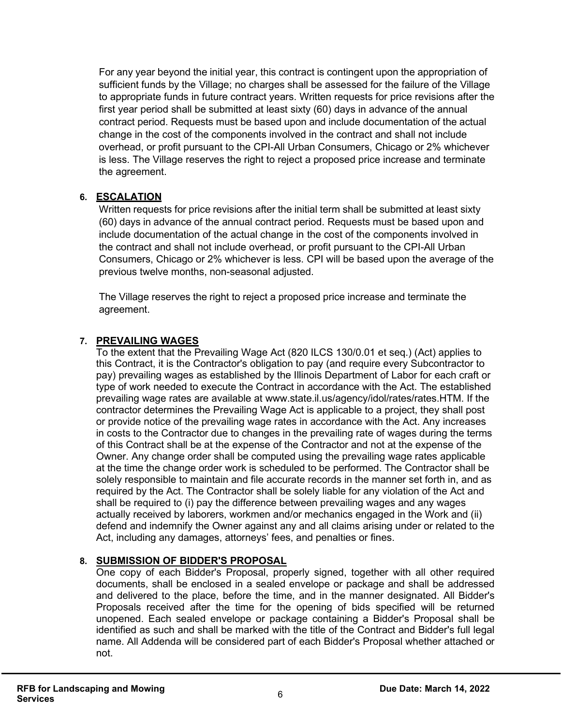For any year beyond the initial year, this contract is contingent upon the appropriation of sufficient funds by the Village; no charges shall be assessed for the failure of the Village to appropriate funds in future contract years. Written requests for price revisions after the first year period shall be submitted at least sixty (60) days in advance of the annual contract period. Requests must be based upon and include documentation of the actual change in the cost of the components involved in the contract and shall not include overhead, or profit pursuant to the CPI-All Urban Consumers, Chicago or 2% whichever is less. The Village reserves the right to reject a proposed price increase and terminate the agreement.

### **6. ESCALATION**

Written requests for price revisions after the initial term shall be submitted at least sixty (60) days in advance of the annual contract period. Requests must be based upon and include documentation of the actual change in the cost of the components involved in the contract and shall not include overhead, or profit pursuant to the CPI-All Urban Consumers, Chicago or 2% whichever is less. CPI will be based upon the average of the previous twelve months, non-seasonal adjusted.

The Village reserves the right to reject a proposed price increase and terminate the agreement.

### **7. PREVAILING WAGES**

To the extent that the Prevailing Wage Act (820 ILCS 130/0.01 et seq.) (Act) applies to this Contract, it is the Contractor's obligation to pay (and require every Subcontractor to pay) prevailing wages as established by the Illinois Department of Labor for each craft or type of work needed to execute the Contract in accordance with the Act. The established prevailing wage rates are available at www.state.il.us/agency/idol/rates/rates.HTM. If the contractor determines the Prevailing Wage Act is applicable to a project, they shall post or provide notice of the prevailing wage rates in accordance with the Act. Any increases in costs to the Contractor due to changes in the prevailing rate of wages during the terms of this Contract shall be at the expense of the Contractor and not at the expense of the Owner. Any change order shall be computed using the prevailing wage rates applicable at the time the change order work is scheduled to be performed. The Contractor shall be solely responsible to maintain and file accurate records in the manner set forth in, and as required by the Act. The Contractor shall be solely liable for any violation of the Act and shall be required to (i) pay the difference between prevailing wages and any wages actually received by laborers, workmen and/or mechanics engaged in the Work and (ii) defend and indemnify the Owner against any and all claims arising under or related to the Act, including any damages, attorneys' fees, and penalties or fines.

## **8. SUBMISSION OF BIDDER'S PROPOSAL**

One copy of each Bidder's Proposal, properly signed, together with all other required documents, shall be enclosed in a sealed envelope or package and shall be addressed and delivered to the place, before the time, and in the manner designated. All Bidder's Proposals received after the time for the opening of bids specified will be returned unopened. Each sealed envelope or package containing a Bidder's Proposal shall be identified as such and shall be marked with the title of the Contract and Bidder's full legal name. All Addenda will be considered part of each Bidder's Proposal whether attached or not.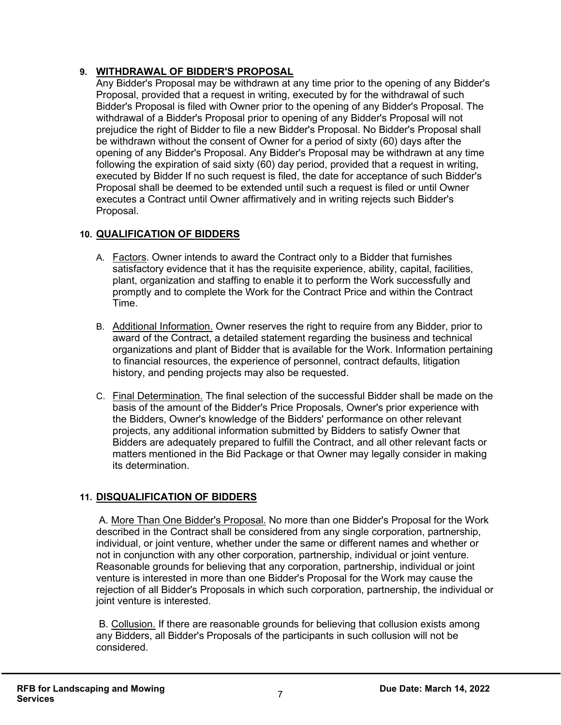# **9. WITHDRAWAL OF BIDDER'S PROPOSAL**

Any Bidder's Proposal may be withdrawn at any time prior to the opening of any Bidder's Proposal, provided that a request in writing, executed by for the withdrawal of such Bidder's Proposal is filed with Owner prior to the opening of any Bidder's Proposal. The withdrawal of a Bidder's Proposal prior to opening of any Bidder's Proposal will not prejudice the right of Bidder to file a new Bidder's Proposal. No Bidder's Proposal shall be withdrawn without the consent of Owner for a period of sixty (60) days after the opening of any Bidder's Proposal. Any Bidder's Proposal may be withdrawn at any time following the expiration of said sixty (60) day period, provided that a request in writing, executed by Bidder If no such request is filed, the date for acceptance of such Bidder's Proposal shall be deemed to be extended until such a request is filed or until Owner executes a Contract until Owner affirmatively and in writing rejects such Bidder's Proposal.

# **10. QUALIFICATION OF BIDDERS**

- A. Factors. Owner intends to award the Contract only to a Bidder that furnishes satisfactory evidence that it has the requisite experience, ability, capital, facilities, plant, organization and staffing to enable it to perform the Work successfully and promptly and to complete the Work for the Contract Price and within the Contract Time.
- B. Additional Information. Owner reserves the right to require from any Bidder, prior to award of the Contract, a detailed statement regarding the business and technical organizations and plant of Bidder that is available for the Work. Information pertaining to financial resources, the experience of personnel, contract defaults, litigation history, and pending projects may also be requested.
- C. Final Determination. The final selection of the successful Bidder shall be made on the basis of the amount of the Bidder's Price Proposals, Owner's prior experience with the Bidders, Owner's knowledge of the Bidders' performance on other relevant projects, any additional information submitted by Bidders to satisfy Owner that Bidders are adequately prepared to fulfill the Contract, and all other relevant facts or matters mentioned in the Bid Package or that Owner may legally consider in making its determination.

## **11. DISQUALIFICATION OF BIDDERS**

A. More Than One Bidder's Proposal. No more than one Bidder's Proposal for the Work described in the Contract shall be considered from any single corporation, partnership, individual, or joint venture, whether under the same or different names and whether or not in conjunction with any other corporation, partnership, individual or joint venture. Reasonable grounds for believing that any corporation, partnership, individual or joint venture is interested in more than one Bidder's Proposal for the Work may cause the rejection of all Bidder's Proposals in which such corporation, partnership, the individual or joint venture is interested.

B. Collusion. If there are reasonable grounds for believing that collusion exists among any Bidders, all Bidder's Proposals of the participants in such collusion will not be considered.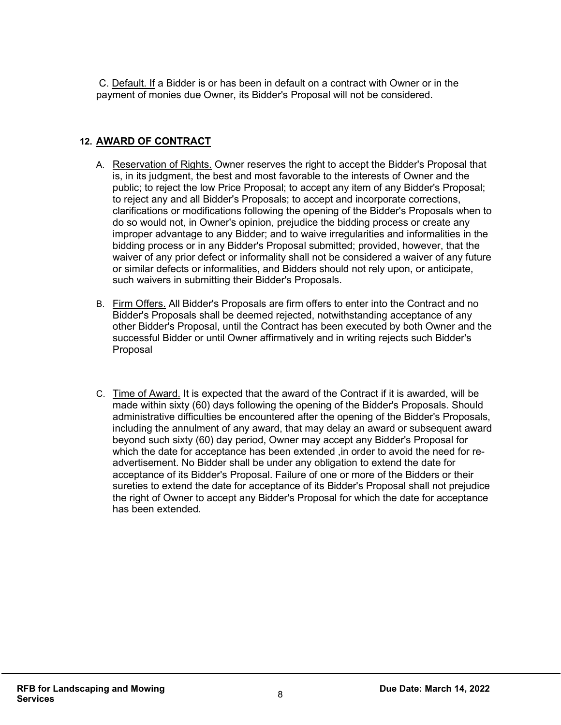C. Default. If a Bidder is or has been in default on a contract with Owner or in the payment of monies due Owner, its Bidder's Proposal will not be considered.

# **12. AWARD OF CONTRACT**

- A. Reservation of Rights. Owner reserves the right to accept the Bidder's Proposal that is, in its judgment, the best and most favorable to the interests of Owner and the public; to reject the low Price Proposal; to accept any item of any Bidder's Proposal; to reject any and all Bidder's Proposals; to accept and incorporate corrections, clarifications or modifications following the opening of the Bidder's Proposals when to do so would not, in Owner's opinion, prejudice the bidding process or create any improper advantage to any Bidder; and to waive irregularities and informalities in the bidding process or in any Bidder's Proposal submitted; provided, however, that the waiver of any prior defect or informality shall not be considered a waiver of any future or similar defects or informalities, and Bidders should not rely upon, or anticipate, such waivers in submitting their Bidder's Proposals.
- B. Firm Offers. All Bidder's Proposals are firm offers to enter into the Contract and no Bidder's Proposals shall be deemed rejected, notwithstanding acceptance of any other Bidder's Proposal, until the Contract has been executed by both Owner and the successful Bidder or until Owner affirmatively and in writing rejects such Bidder's Proposal
- C. Time of Award. It is expected that the award of the Contract if it is awarded, will be made within sixty (60) days following the opening of the Bidder's Proposals. Should administrative difficulties be encountered after the opening of the Bidder's Proposals, including the annulment of any award, that may delay an award or subsequent award beyond such sixty (60) day period, Owner may accept any Bidder's Proposal for which the date for acceptance has been extended ,in order to avoid the need for readvertisement. No Bidder shall be under any obligation to extend the date for acceptance of its Bidder's Proposal. Failure of one or more of the Bidders or their sureties to extend the date for acceptance of its Bidder's Proposal shall not prejudice the right of Owner to accept any Bidder's Proposal for which the date for acceptance has been extended.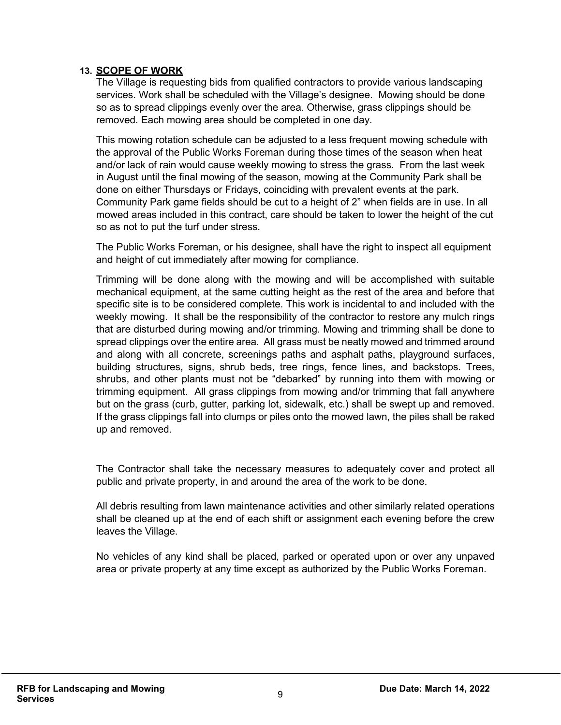### **13. SCOPE OF WORK**

The Village is requesting bids from qualified contractors to provide various landscaping services. Work shall be scheduled with the Village's designee. Mowing should be done so as to spread clippings evenly over the area. Otherwise, grass clippings should be removed. Each mowing area should be completed in one day.

This mowing rotation schedule can be adjusted to a less frequent mowing schedule with the approval of the Public Works Foreman during those times of the season when heat and/or lack of rain would cause weekly mowing to stress the grass. From the last week in August until the final mowing of the season, mowing at the Community Park shall be done on either Thursdays or Fridays, coinciding with prevalent events at the park. Community Park game fields should be cut to a height of 2" when fields are in use. In all mowed areas included in this contract, care should be taken to lower the height of the cut so as not to put the turf under stress.

The Public Works Foreman, or his designee, shall have the right to inspect all equipment and height of cut immediately after mowing for compliance.

Trimming will be done along with the mowing and will be accomplished with suitable mechanical equipment, at the same cutting height as the rest of the area and before that specific site is to be considered complete. This work is incidental to and included with the weekly mowing. It shall be the responsibility of the contractor to restore any mulch rings that are disturbed during mowing and/or trimming. Mowing and trimming shall be done to spread clippings over the entire area. All grass must be neatly mowed and trimmed around and along with all concrete, screenings paths and asphalt paths, playground surfaces, building structures, signs, shrub beds, tree rings, fence lines, and backstops. Trees, shrubs, and other plants must not be "debarked" by running into them with mowing or trimming equipment. All grass clippings from mowing and/or trimming that fall anywhere but on the grass (curb, gutter, parking lot, sidewalk, etc.) shall be swept up and removed. If the grass clippings fall into clumps or piles onto the mowed lawn, the piles shall be raked up and removed.

The Contractor shall take the necessary measures to adequately cover and protect all public and private property, in and around the area of the work to be done.

All debris resulting from lawn maintenance activities and other similarly related operations shall be cleaned up at the end of each shift or assignment each evening before the crew leaves the Village.

No vehicles of any kind shall be placed, parked or operated upon or over any unpaved area or private property at any time except as authorized by the Public Works Foreman.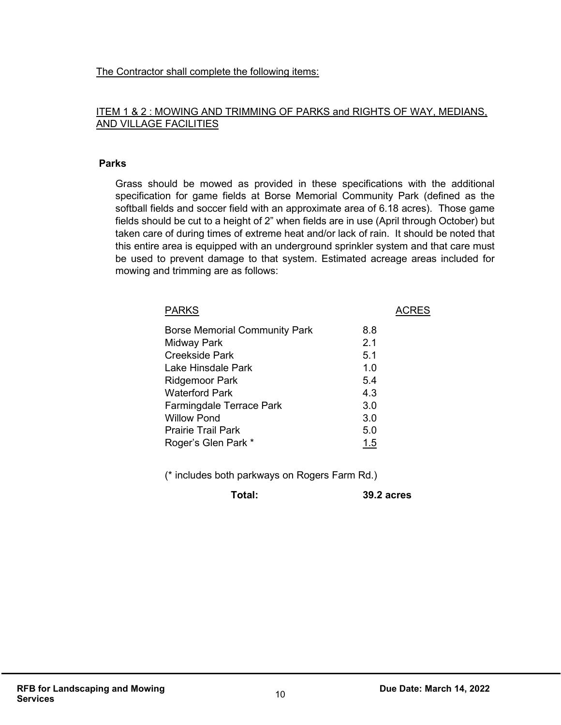The Contractor shall complete the following items:

## ITEM 1 & 2 : MOWING AND TRIMMING OF PARKS and RIGHTS OF WAY, MEDIANS, AND VILLAGE FACILITIES

### **Parks**

Grass should be mowed as provided in these specifications with the additional specification for game fields at Borse Memorial Community Park (defined as the softball fields and soccer field with an approximate area of 6.18 acres). Those game fields should be cut to a height of 2" when fields are in use (April through October) but taken care of during times of extreme heat and/or lack of rain. It should be noted that this entire area is equipped with an underground sprinkler system and that care must be used to prevent damage to that system. Estimated acreage areas included for mowing and trimming are as follows:

| <b>PARKS</b>                         |     | <b>ACRES</b> |
|--------------------------------------|-----|--------------|
| <b>Borse Memorial Community Park</b> | 8.8 |              |
| Midway Park                          | 2.1 |              |
| <b>Creekside Park</b>                | 5.1 |              |
| Lake Hinsdale Park                   | 1.0 |              |
| <b>Ridgemoor Park</b>                | 5.4 |              |
| <b>Waterford Park</b>                | 4.3 |              |
| Farmingdale Terrace Park             | 3.0 |              |
| <b>Willow Pond</b>                   | 3.0 |              |
| <b>Prairie Trail Park</b>            | 5.0 |              |
| Roger's Glen Park *                  | 1.5 |              |
|                                      |     |              |

(\* includes both parkways on Rogers Farm Rd.)

**Total: 39.2 acres**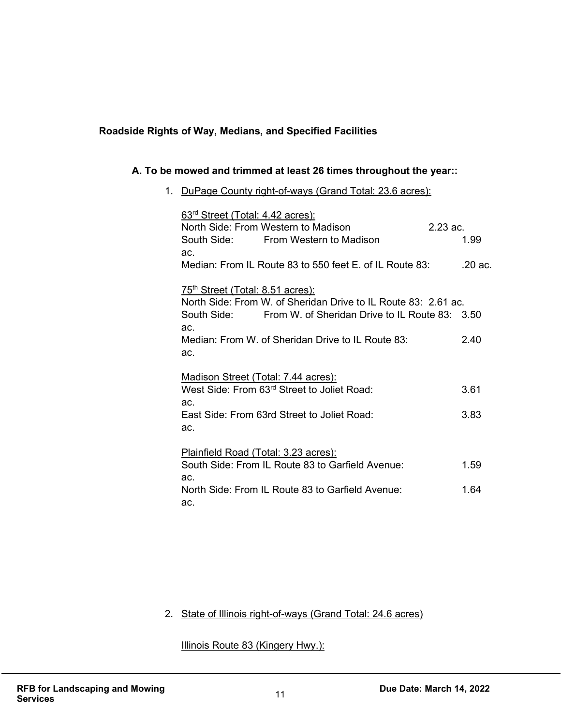## **Roadside Rights of Way, Medians, and Specified Facilities**

## **A. To be mowed and trimmed at least 26 times throughout the year::**

### 1. DuPage County right-of-ways (Grand Total: 23.6 acres):

| 63 <sup>rd</sup> Street (Total: 4.42 acres):                   |                   |
|----------------------------------------------------------------|-------------------|
| North Side: From Western to Madison                            | $2.23 \text{ ac}$ |
| South Side: From Western to Madison                            | 1.99              |
| ac.                                                            |                   |
| Median: From IL Route 83 to 550 feet E, of IL Route 83:        | .20 ac.           |
| 75 <sup>th</sup> Street (Total: 8.51 acres):                   |                   |
| North Side: From W. of Sheridan Drive to IL Route 83: 2.61 ac. |                   |
| South Side: From W. of Sheridan Drive to IL Route 83: 3.50     |                   |
| ac.                                                            |                   |
| Median: From W. of Sheridan Drive to IL Route 83:              | 2.40              |
| ac.                                                            |                   |
|                                                                |                   |
| Madison Street (Total: 7.44 acres):                            |                   |
| West Side: From 63rd Street to Joliet Road:                    | 3.61              |
| ac.                                                            |                   |
| East Side: From 63rd Street to Joliet Road:                    | 3.83              |
| ac.                                                            |                   |
|                                                                |                   |
| Plainfield Road (Total: 3.23 acres):                           |                   |
| South Side: From IL Route 83 to Garfield Avenue:               | 1.59              |
| ac.                                                            |                   |
| North Side: From IL Route 83 to Garfield Avenue:               | 1.64              |
| ac.                                                            |                   |

# 2. State of Illinois right-of-ways (Grand Total: 24.6 acres)

Illinois Route 83 (Kingery Hwy.):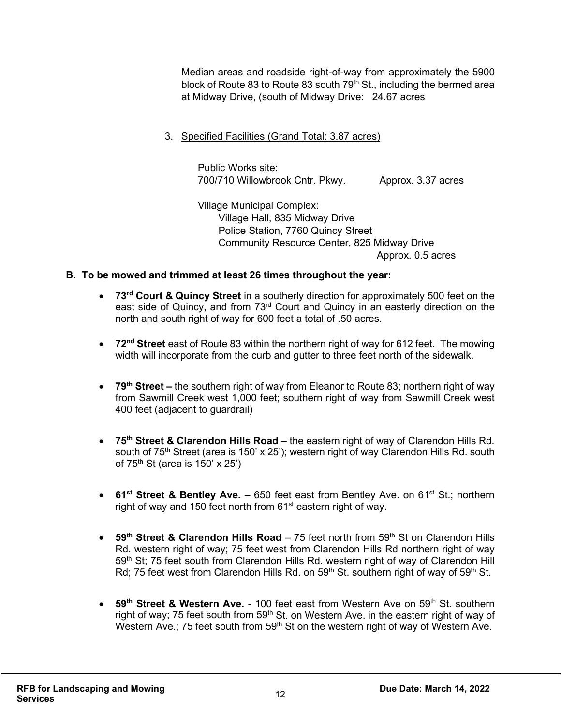Median areas and roadside right-of-way from approximately the 5900 block of Route 83 to Route 83 south  $79<sup>th</sup>$  St., including the bermed area at Midway Drive, (south of Midway Drive: 24.67 acres

3. Specified Facilities (Grand Total: 3.87 acres)

Public Works site: 700/710 Willowbrook Cntr. Pkwy. Approx. 3.37 acres

Village Municipal Complex: Village Hall, 835 Midway Drive Police Station, 7760 Quincy Street Community Resource Center, 825 Midway Drive Approx. 0.5 acres

# **B. To be mowed and trimmed at least 26 times throughout the year:**

- **73rd Court & Quincy Street** in a southerly direction for approximately 500 feet on the east side of Quincy, and from 73<sup>rd</sup> Court and Quincy in an easterly direction on the north and south right of way for 600 feet a total of .50 acres.
- **72nd Street** east of Route 83 within the northern right of way for 612 feet. The mowing width will incorporate from the curb and gutter to three feet north of the sidewalk.
- **79th Street –** the southern right of way from Eleanor to Route 83; northern right of way from Sawmill Creek west 1,000 feet; southern right of way from Sawmill Creek west 400 feet (adjacent to guardrail)
- **75th Street & Clarendon Hills Road** the eastern right of way of Clarendon Hills Rd. south of 75<sup>th</sup> Street (area is 150' x 25'); western right of way Clarendon Hills Rd. south of  $75<sup>th</sup>$  St (area is  $150'$  x  $25'$ )
- **61<sup>st</sup> Street & Bentley Ave.** 650 feet east from Bentley Ave. on 61<sup>st</sup> St.; northern right of way and 150 feet north from 61<sup>st</sup> eastern right of way.
- **59<sup>th</sup> Street & Clarendon Hills Road** 75 feet north from 59<sup>th</sup> St on Clarendon Hills Rd. western right of way; 75 feet west from Clarendon Hills Rd northern right of way 59<sup>th</sup> St; 75 feet south from Clarendon Hills Rd. western right of way of Clarendon Hill Rd; 75 feet west from Clarendon Hills Rd. on  $59<sup>th</sup>$  St. southern right of way of  $59<sup>th</sup>$  St.
- **59<sup>th</sup> Street & Western Ave.** 100 feet east from Western Ave on 59<sup>th</sup> St. southern right of way; 75 feet south from 59<sup>th</sup> St. on Western Ave. in the eastern right of way of Western Ave.; 75 feet south from  $59<sup>th</sup>$  St on the western right of way of Western Ave.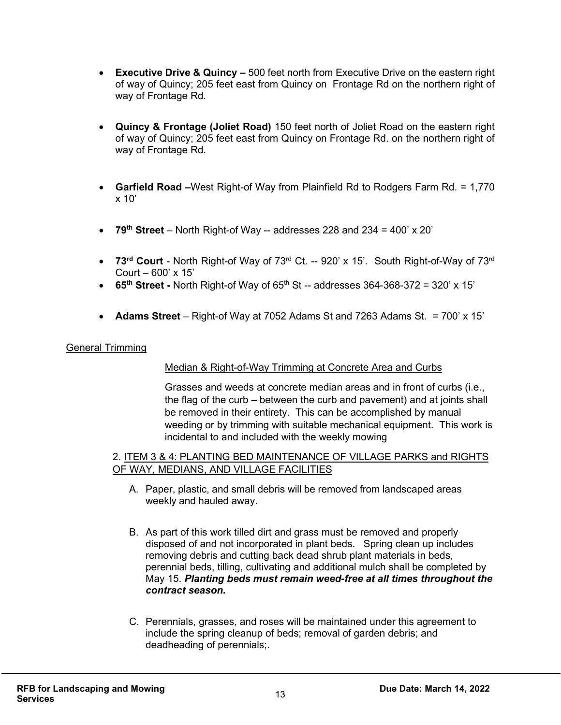- **Executive Drive & Quincy –** 500 feet north from Executive Drive on the eastern right of way of Quincy; 205 feet east from Quincy on Frontage Rd on the northern right of way of Frontage Rd.
- **Quincy & Frontage (Joliet Road)** 150 feet north of Joliet Road on the eastern right of way of Quincy; 205 feet east from Quincy on Frontage Rd. on the northern right of way of Frontage Rd.
- **Garfield Road –**West Right-of Way from Plainfield Rd to Rodgers Farm Rd. = 1,770 x 10'
- **79th Street** North Right-of Way -- addresses 228 and 234 = 400' x 20'
- **73rd Court** North Right-of Way of 73rd Ct. -- 920' x 15'. South Right-of-Way of 73rd Court – 600' x 15'
- **65<sup>th</sup> Street -** North Right-of Way of  $65<sup>th</sup>$  St -- addresses 364-368-372 = 320' x 15'
- **Adams Street** Right-of Way at 7052 Adams St and 7263 Adams St. = 700' x 15'

#### General Trimming

#### Median & Right-of-Way Trimming at Concrete Area and Curbs

Grasses and weeds at concrete median areas and in front of curbs (i.e., the flag of the curb – between the curb and pavement) and at joints shall be removed in their entirety. This can be accomplished by manual weeding or by trimming with suitable mechanical equipment. This work is incidental to and included with the weekly mowing

#### 2. ITEM 3 & 4: PLANTING BED MAINTENANCE OF VILLAGE PARKS and RIGHTS OF WAY, MEDIANS, AND VILLAGE FACILITIES

- A. Paper, plastic, and small debris will be removed from landscaped areas weekly and hauled away.
- B. As part of this work tilled dirt and grass must be removed and properly disposed of and not incorporated in plant beds. Spring clean up includes removing debris and cutting back dead shrub plant materials in beds, perennial beds, tilling, cultivating and additional mulch shall be completed by May 15. *Planting beds must remain weed-free at all times throughout the contract season.*
- C. Perennials, grasses, and roses will be maintained under this agreement to include the spring cleanup of beds; removal of garden debris; and deadheading of perennials;.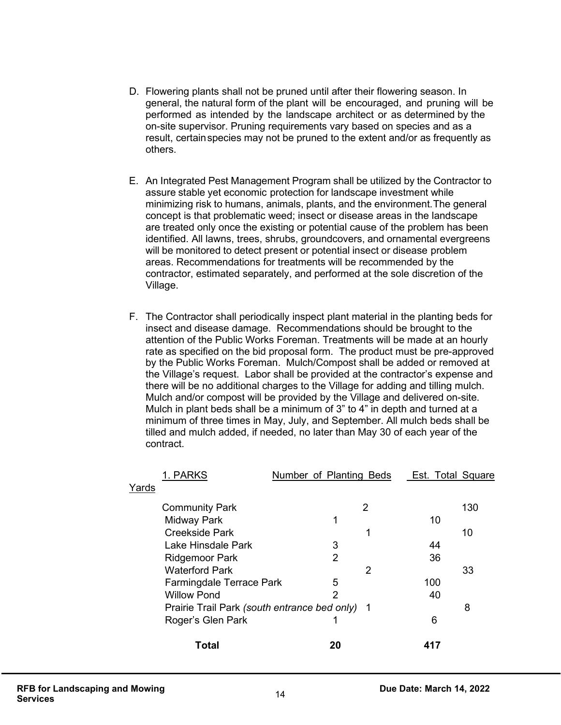- D. Flowering plants shall not be pruned until after their flowering season. In general, the natural form of the plant will be encouraged, and pruning will be performed as intended by the landscape architect or as determined by the on-site supervisor. Pruning requirements vary based on species and as a result, certain species may not be pruned to the extent and/or as frequently as others.
- E. An Integrated Pest Management Program shall be utilized by the Contractor to assure stable yet economic protection for landscape investment while minimizing risk to humans, animals, plants, and the environment.The general concept is that problematic weed; insect or disease areas in the landscape are treated only once the existing or potential cause of the problem has been identified. All lawns, trees, shrubs, groundcovers, and ornamental evergreens will be monitored to detect present or potential insect or disease problem areas. Recommendations for treatments will be recommended by the contractor, estimated separately, and performed at the sole discretion of the Village.
- F. The Contractor shall periodically inspect plant material in the planting beds for insect and disease damage. Recommendations should be brought to the attention of the Public Works Foreman. Treatments will be made at an hourly rate as specified on the bid proposal form. The product must be pre-approved by the Public Works Foreman. Mulch/Compost shall be added or removed at the Village's request. Labor shall be provided at the contractor's expense and there will be no additional charges to the Village for adding and tilling mulch. Mulch and/or compost will be provided by the Village and delivered on-site. Mulch in plant beds shall be a minimum of 3" to 4" in depth and turned at a minimum of three times in May, July, and September. All mulch beds shall be tilled and mulch added, if needed, no later than May 30 of each year of the contract.

| 1. PARKS                 | Number of Planting Beds                        |   | Est. Total Square |     |
|--------------------------|------------------------------------------------|---|-------------------|-----|
| Yards                    |                                                |   |                   |     |
| <b>Community Park</b>    |                                                | 2 |                   | 130 |
| Midway Park              | 1                                              |   | 10                |     |
| <b>Creekside Park</b>    |                                                | 1 |                   | 10  |
| Lake Hinsdale Park       | 3                                              |   | 44                |     |
| <b>Ridgemoor Park</b>    | $\overline{2}$                                 |   | 36                |     |
| <b>Waterford Park</b>    |                                                | 2 |                   | 33  |
| Farmingdale Terrace Park | 5                                              |   | 100               |     |
| <b>Willow Pond</b>       | 2                                              |   | 40                |     |
|                          | Prairie Trail Park (south entrance bed only) 1 |   |                   | 8   |
| Roger's Glen Park        |                                                |   | 6                 |     |
| Total                    | 20                                             |   |                   |     |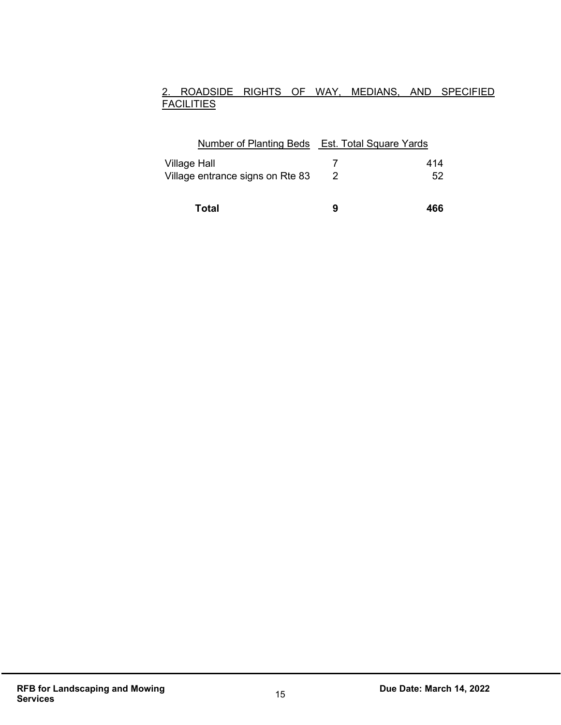# 2. ROADSIDE RIGHTS OF WAY, MEDIANS, AND SPECIFIED **FACILITIES**

| Number of Planting Beds Est. Total Square Yards |   |     |
|-------------------------------------------------|---|-----|
| Village Hall                                    |   | 414 |
| Village entrance signs on Rte 83                | 2 | 52  |
| Total                                           | g | 466 |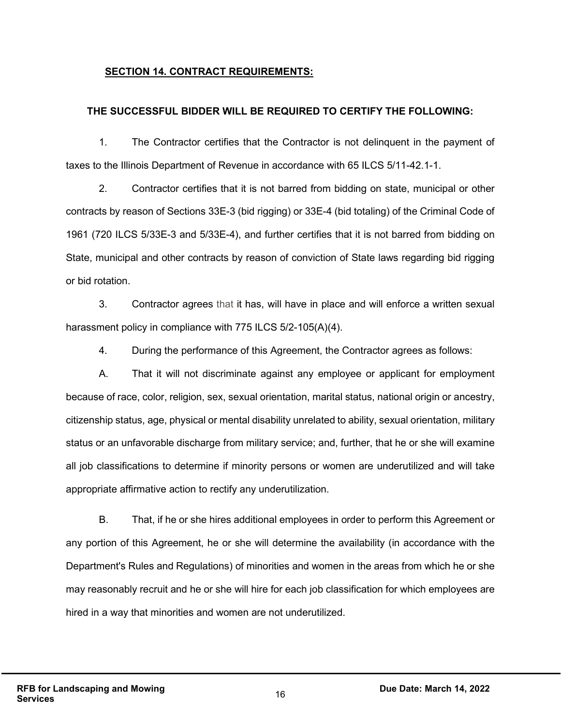### **SECTION 14. CONTRACT REQUIREMENTS:**

#### **THE SUCCESSFUL BIDDER WILL BE REQUIRED TO CERTIFY THE FOLLOWING:**

1. The Contractor certifies that the Contractor is not delinquent in the payment of taxes to the Illinois Department of Revenue in accordance with 65 ILCS 5/11-42.1-1.

2. Contractor certifies that it is not barred from bidding on state, municipal or other contracts by reason of Sections 33E-3 (bid rigging) or 33E-4 (bid totaling) of the Criminal Code of 1961 (720 ILCS 5/33E-3 and 5/33E-4), and further certifies that it is not barred from bidding on State, municipal and other contracts by reason of conviction of State laws regarding bid rigging or bid rotation.

3. Contractor agrees that it has, will have in place and will enforce a written sexual harassment policy in compliance with 775 ILCS 5/2-105(A)(4).

4. During the performance of this Agreement, the Contractor agrees as follows:

A. That it will not discriminate against any employee or applicant for employment because of race, color, religion, sex, sexual orientation, marital status, national origin or ancestry, citizenship status, age, physical or mental disability unrelated to ability, sexual orientation, military status or an unfavorable discharge from military service; and, further, that he or she will examine all job classifications to determine if minority persons or women are underutilized and will take appropriate affirmative action to rectify any underutilization.

B. That, if he or she hires additional employees in order to perform this Agreement or any portion of this Agreement, he or she will determine the availability (in accordance with the Department's Rules and Regulations) of minorities and women in the areas from which he or she may reasonably recruit and he or she will hire for each job classification for which employees are hired in a way that minorities and women are not underutilized.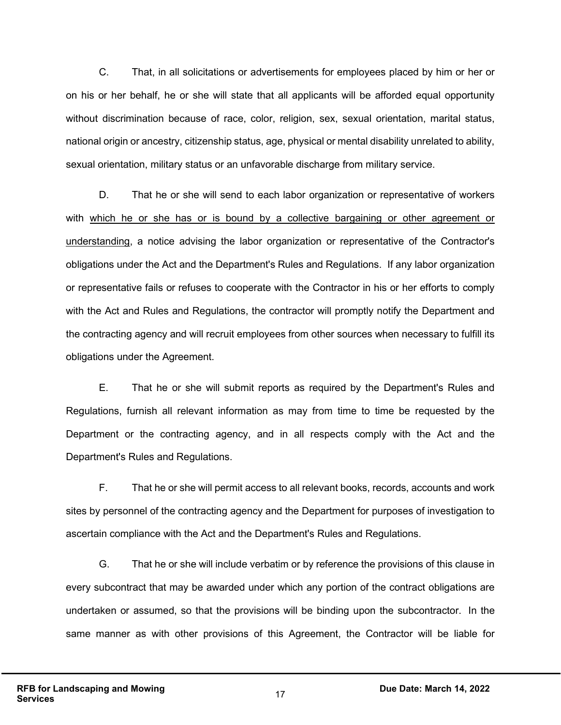C. That, in all solicitations or advertisements for employees placed by him or her or on his or her behalf, he or she will state that all applicants will be afforded equal opportunity without discrimination because of race, color, religion, sex, sexual orientation, marital status, national origin or ancestry, citizenship status, age, physical or mental disability unrelated to ability, sexual orientation, military status or an unfavorable discharge from military service.

D. That he or she will send to each labor organization or representative of workers with which he or she has or is bound by a collective bargaining or other agreement or understanding, a notice advising the labor organization or representative of the Contractor's obligations under the Act and the Department's Rules and Regulations. If any labor organization or representative fails or refuses to cooperate with the Contractor in his or her efforts to comply with the Act and Rules and Regulations, the contractor will promptly notify the Department and the contracting agency and will recruit employees from other sources when necessary to fulfill its obligations under the Agreement.

E. That he or she will submit reports as required by the Department's Rules and Regulations, furnish all relevant information as may from time to time be requested by the Department or the contracting agency, and in all respects comply with the Act and the Department's Rules and Regulations.

F. That he or she will permit access to all relevant books, records, accounts and work sites by personnel of the contracting agency and the Department for purposes of investigation to ascertain compliance with the Act and the Department's Rules and Regulations.

G. That he or she will include verbatim or by reference the provisions of this clause in every subcontract that may be awarded under which any portion of the contract obligations are undertaken or assumed, so that the provisions will be binding upon the subcontractor. In the same manner as with other provisions of this Agreement, the Contractor will be liable for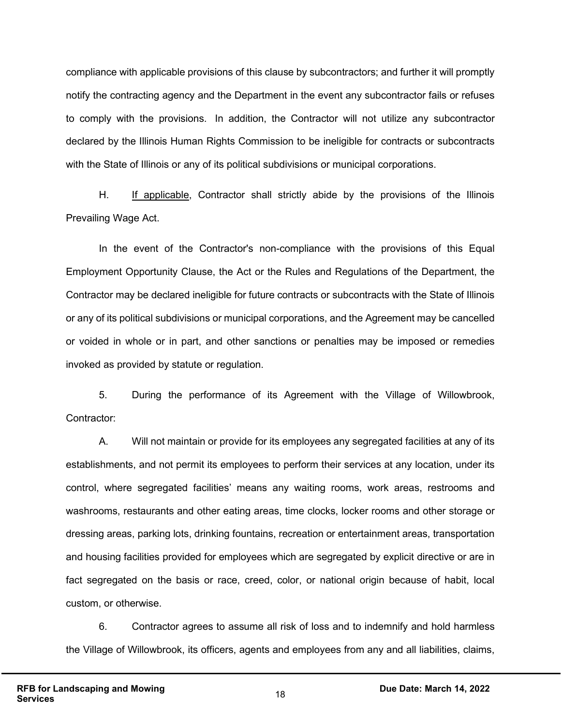compliance with applicable provisions of this clause by subcontractors; and further it will promptly notify the contracting agency and the Department in the event any subcontractor fails or refuses to comply with the provisions. In addition, the Contractor will not utilize any subcontractor declared by the Illinois Human Rights Commission to be ineligible for contracts or subcontracts with the State of Illinois or any of its political subdivisions or municipal corporations.

H. If applicable, Contractor shall strictly abide by the provisions of the Illinois Prevailing Wage Act.

In the event of the Contractor's non-compliance with the provisions of this Equal Employment Opportunity Clause, the Act or the Rules and Regulations of the Department, the Contractor may be declared ineligible for future contracts or subcontracts with the State of Illinois or any of its political subdivisions or municipal corporations, and the Agreement may be cancelled or voided in whole or in part, and other sanctions or penalties may be imposed or remedies invoked as provided by statute or regulation.

5. During the performance of its Agreement with the Village of Willowbrook, Contractor:

A. Will not maintain or provide for its employees any segregated facilities at any of its establishments, and not permit its employees to perform their services at any location, under its control, where segregated facilities' means any waiting rooms, work areas, restrooms and washrooms, restaurants and other eating areas, time clocks, locker rooms and other storage or dressing areas, parking lots, drinking fountains, recreation or entertainment areas, transportation and housing facilities provided for employees which are segregated by explicit directive or are in fact segregated on the basis or race, creed, color, or national origin because of habit, local custom, or otherwise.

6. Contractor agrees to assume all risk of loss and to indemnify and hold harmless the Village of Willowbrook, its officers, agents and employees from any and all liabilities, claims,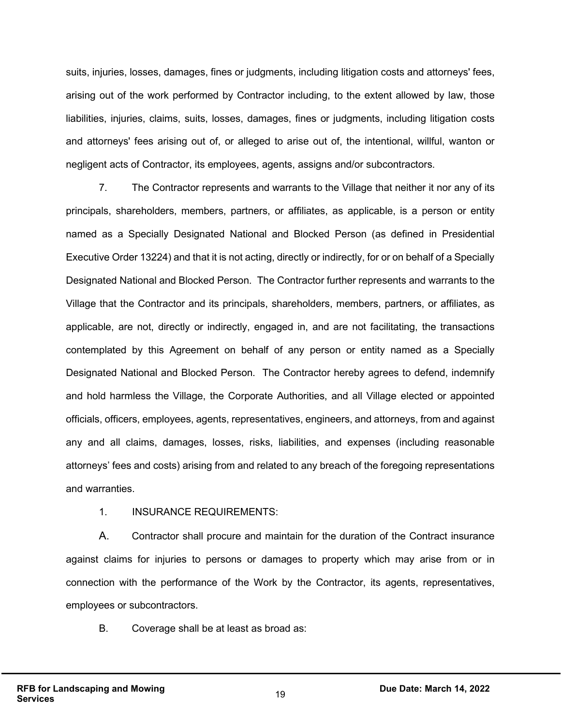suits, injuries, losses, damages, fines or judgments, including litigation costs and attorneys' fees, arising out of the work performed by Contractor including, to the extent allowed by law, those liabilities, injuries, claims, suits, losses, damages, fines or judgments, including litigation costs and attorneys' fees arising out of, or alleged to arise out of, the intentional, willful, wanton or negligent acts of Contractor, its employees, agents, assigns and/or subcontractors.

7. The Contractor represents and warrants to the Village that neither it nor any of its principals, shareholders, members, partners, or affiliates, as applicable, is a person or entity named as a Specially Designated National and Blocked Person (as defined in Presidential Executive Order 13224) and that it is not acting, directly or indirectly, for or on behalf of a Specially Designated National and Blocked Person. The Contractor further represents and warrants to the Village that the Contractor and its principals, shareholders, members, partners, or affiliates, as applicable, are not, directly or indirectly, engaged in, and are not facilitating, the transactions contemplated by this Agreement on behalf of any person or entity named as a Specially Designated National and Blocked Person. The Contractor hereby agrees to defend, indemnify and hold harmless the Village, the Corporate Authorities, and all Village elected or appointed officials, officers, employees, agents, representatives, engineers, and attorneys, from and against any and all claims, damages, losses, risks, liabilities, and expenses (including reasonable attorneys' fees and costs) arising from and related to any breach of the foregoing representations and warranties.

#### 1. INSURANCE REQUIREMENTS:

A. Contractor shall procure and maintain for the duration of the Contract insurance against claims for injuries to persons or damages to property which may arise from or in connection with the performance of the Work by the Contractor, its agents, representatives, employees or subcontractors.

B. Coverage shall be at least as broad as: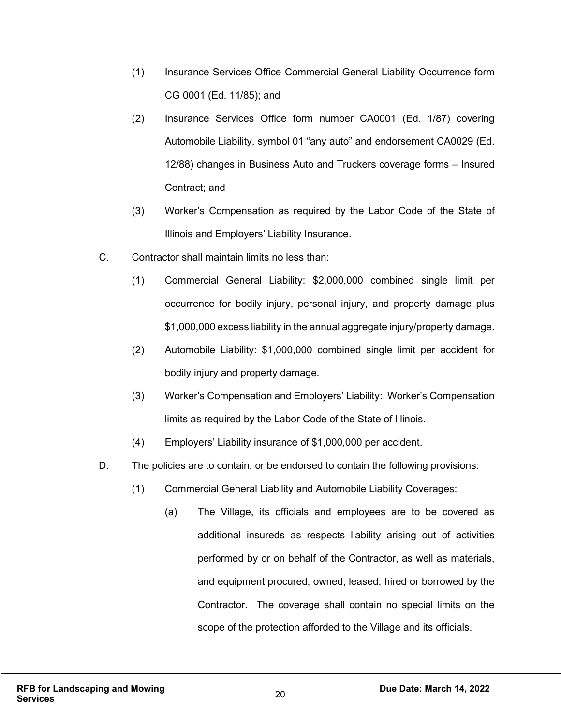- (1) Insurance Services Office Commercial General Liability Occurrence form CG 0001 (Ed. 11/85); and
- (2) Insurance Services Office form number CA0001 (Ed. 1/87) covering Automobile Liability, symbol 01 "any auto" and endorsement CA0029 (Ed. 12/88) changes in Business Auto and Truckers coverage forms – Insured Contract; and
- (3) Worker's Compensation as required by the Labor Code of the State of Illinois and Employers' Liability Insurance.
- C. Contractor shall maintain limits no less than:
	- (1) Commercial General Liability: \$2,000,000 combined single limit per occurrence for bodily injury, personal injury, and property damage plus \$1,000,000 excess liability in the annual aggregate injury/property damage.
	- (2) Automobile Liability: \$1,000,000 combined single limit per accident for bodily injury and property damage.
	- (3) Worker's Compensation and Employers' Liability: Worker's Compensation limits as required by the Labor Code of the State of Illinois.
	- (4) Employers' Liability insurance of \$1,000,000 per accident.
- D. The policies are to contain, or be endorsed to contain the following provisions:
	- (1) Commercial General Liability and Automobile Liability Coverages:
		- (a) The Village, its officials and employees are to be covered as additional insureds as respects liability arising out of activities performed by or on behalf of the Contractor, as well as materials, and equipment procured, owned, leased, hired or borrowed by the Contractor. The coverage shall contain no special limits on the scope of the protection afforded to the Village and its officials.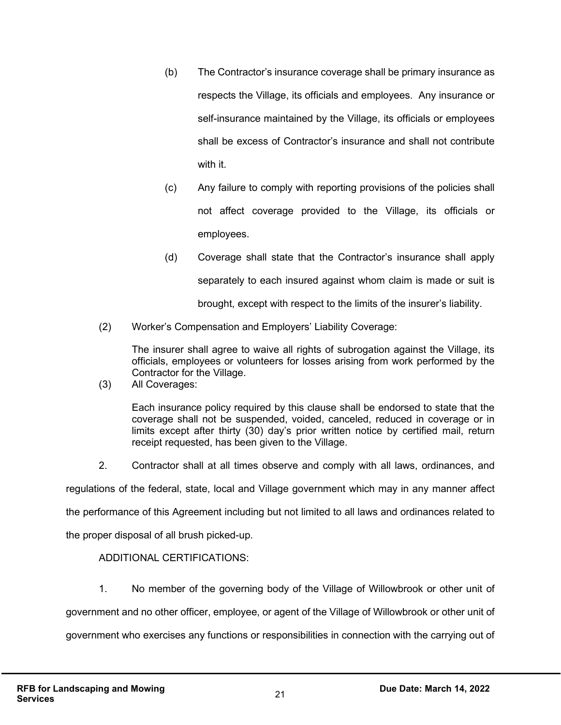- (b) The Contractor's insurance coverage shall be primary insurance as respects the Village, its officials and employees. Any insurance or self-insurance maintained by the Village, its officials or employees shall be excess of Contractor's insurance and shall not contribute with it.
- (c) Any failure to comply with reporting provisions of the policies shall not affect coverage provided to the Village, its officials or employees.
- (d) Coverage shall state that the Contractor's insurance shall apply separately to each insured against whom claim is made or suit is brought, except with respect to the limits of the insurer's liability.
- (2) Worker's Compensation and Employers' Liability Coverage:

The insurer shall agree to waive all rights of subrogation against the Village, its officials, employees or volunteers for losses arising from work performed by the Contractor for the Village.

(3) All Coverages:

Each insurance policy required by this clause shall be endorsed to state that the coverage shall not be suspended, voided, canceled, reduced in coverage or in limits except after thirty (30) day's prior written notice by certified mail, return receipt requested, has been given to the Village.

2. Contractor shall at all times observe and comply with all laws, ordinances, and

regulations of the federal, state, local and Village government which may in any manner affect

the performance of this Agreement including but not limited to all laws and ordinances related to

the proper disposal of all brush picked-up.

#### ADDITIONAL CERTIFICATIONS:

1. No member of the governing body of the Village of Willowbrook or other unit of

government and no other officer, employee, or agent of the Village of Willowbrook or other unit of

government who exercises any functions or responsibilities in connection with the carrying out of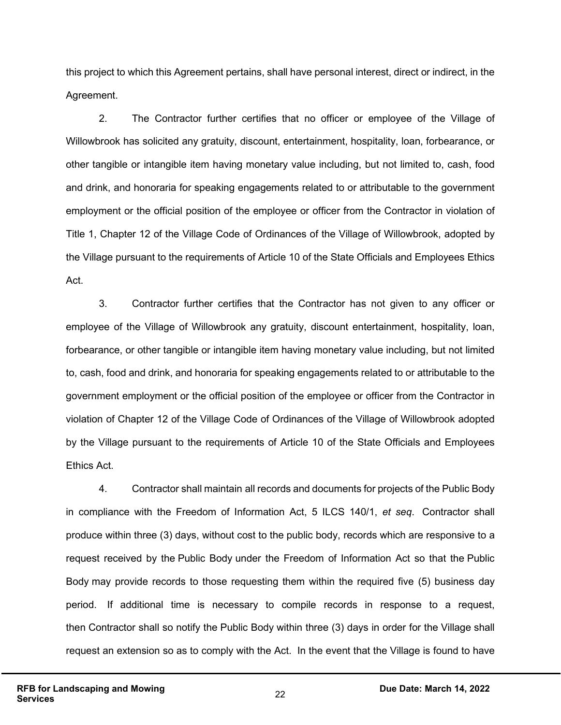this project to which this Agreement pertains, shall have personal interest, direct or indirect, in the Agreement.

2. The Contractor further certifies that no officer or employee of the Village of Willowbrook has solicited any gratuity, discount, entertainment, hospitality, loan, forbearance, or other tangible or intangible item having monetary value including, but not limited to, cash, food and drink, and honoraria for speaking engagements related to or attributable to the government employment or the official position of the employee or officer from the Contractor in violation of Title 1, Chapter 12 of the Village Code of Ordinances of the Village of Willowbrook, adopted by the Village pursuant to the requirements of Article 10 of the State Officials and Employees Ethics Act.

3. Contractor further certifies that the Contractor has not given to any officer or employee of the Village of Willowbrook any gratuity, discount entertainment, hospitality, loan, forbearance, or other tangible or intangible item having monetary value including, but not limited to, cash, food and drink, and honoraria for speaking engagements related to or attributable to the government employment or the official position of the employee or officer from the Contractor in violation of Chapter 12 of the Village Code of Ordinances of the Village of Willowbrook adopted by the Village pursuant to the requirements of Article 10 of the State Officials and Employees Ethics Act.

4. Contractor shall maintain all records and documents for projects of the Public Body in compliance with the Freedom of Information Act, 5 ILCS 140/1, *et seq*. Contractor shall produce within three (3) days, without cost to the public body, records which are responsive to a request received by the Public Body under the Freedom of Information Act so that the Public Body may provide records to those requesting them within the required five (5) business day period. If additional time is necessary to compile records in response to a request, then Contractor shall so notify the Public Body within three (3) days in order for the Village shall request an extension so as to comply with the Act. In the event that the Village is found to have